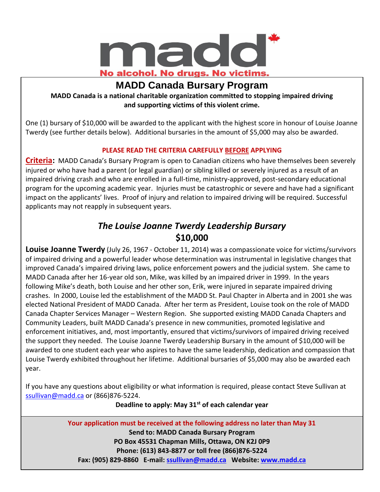

### **MADD Canada Bursary Program**

**MADD Canada is a national charitable organization committed to stopping impaired driving and supporting victims of this violent crime.**

One (1) bursary of \$10,000 will be awarded to the applicant with the highest score in honour of Louise Joanne Twerdy (see further details below). Additional bursaries in the amount of \$5,000 may also be awarded.

#### **PLEASE READ THE CRITERIA CAREFULLY BEFORE APPLYING**

**Criteria:** MADD Canada's Bursary Program is open to Canadian citizens who have themselves been severely injured or who have had a parent (or legal guardian) or sibling killed or severely injured as a result of an impaired driving crash and who are enrolled in a full-time, ministry-approved, post-secondary educational program for the upcoming academic year. Injuries must be catastrophic or severe and have had a significant impact on the applicants' lives. Proof of injury and relation to impaired driving will be required. Successful applicants may not reapply in subsequent years.

#### *The Louise Joanne Twerdy Leadership Bursary*  **\$10,000**

**Louise Joanne Twerdy** (July 26, 1967 - October 11, 2014) was a compassionate voice for victims/survivors of impaired driving and a powerful leader whose determination was instrumental in legislative changes that improved Canada's impaired driving laws, police enforcement powers and the judicial system. She came to MADD Canada after her 16-year old son, Mike, was killed by an impaired driver in 1999. In the years following Mike's death, both Louise and her other son, Erik, were injured in separate impaired driving crashes. In 2000, Louise led the establishment of the MADD St. Paul Chapter in Alberta and in 2001 she was elected National President of MADD Canada. After her term as President, Louise took on the role of MADD Canada Chapter Services Manager – Western Region. She supported existing MADD Canada Chapters and Community Leaders, built MADD Canada's presence in new communities, promoted legislative and enforcement initiatives, and, most importantly, ensured that victims/survivors of impaired driving received the support they needed. The Louise Joanne Twerdy Leadership Bursary in the amount of \$10,000 will be awarded to one student each year who aspires to have the same leadership, dedication and compassion that Louise Twerdy exhibited throughout her lifetime. Additional bursaries of \$5,000 may also be awarded each year.

If you have any questions about eligibility or what information is required, please contact Steve Sullivan at [ssullivan@madd.ca](mailto:ssullivan@madd.ca) or (866)876-5224.

**Deadline to apply: May 31st of each calendar year**

**Your application must be received at the following address no later than May 31 Send to: MADD Canada Bursary Program PO Box 45531 Chapman Mills, Ottawa, ON K2J 0P9 Phone: (613) 843-8877 or toll free (866)876-5224 Fax: (905) 829-8860 E-mail: [ssullivan@madd.ca](mailto:ssullivan@madd.ca) Website: [www.madd.ca](file:///C:/Documents%20and%20Settings/sjukes/Documents%20and%20Settings/wkristensen/Desktop/Bursary%20changes/www.madd.ca) PLEASE BE SURFACE BETWEEN ASSESSED BE SURFACE IN THE APPLICATION** CHECK LIST ATTACHED APPLICATION REQUIREMENTS CH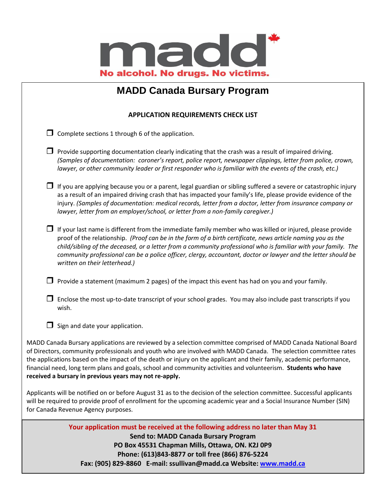

## **MADD Canada Bursary Program**

#### **APPLICATION REQUIREMENTS CHECK LIST**

 $\Box$  Complete sections 1 through 6 of the application.

- $\Box$  Provide supporting documentation clearly indicating that the crash was a result of impaired driving. *(Samples of documentation: coroner's report, police report, newspaper clippings, letter from police, crown, lawyer, or other community leader or first responder who is familiar with the events of the crash, etc.)*
- $\Box$  If you are applying because you or a parent, legal guardian or sibling suffered a severe or catastrophic injury as a result of an impaired driving crash that has impacted your family's life, please provide evidence of the injury. *(Samples of documentation: medical records, letter from a doctor, letter from insurance company or lawyer, letter from an employer/school, or letter from a non-family caregiver.)*
- $\Box$  If your last name is different from the immediate family member who was killed or injured, please provide proof of the relationship. *(Proof can be in the form of a birth certificate, news article naming you as the child/sibling of the deceased, or a letter from a community professional who is familiar with your family. The community professional can be a police officer, clergy, accountant, doctor or lawyer and the letter should be written on their letterhead.)*
- **Provide a statement (maximum 2 pages) of the impact this event has had on you and your family.**
- $\Box$  Enclose the most up-to-date transcript of your school grades. You may also include past transcripts if you wish.
- $\Box$  Sign and date your application.

MADD Canada Bursary applications are reviewed by a selection committee comprised of MADD Canada National Board of Directors, community professionals and youth who are involved with MADD Canada. The selection committee rates the applications based on the impact of the death or injury on the applicant and their family, academic performance, financial need, long term plans and goals, school and community activities and volunteerism. **Students who have received a bursary in previous years may not re-apply.**

Applicants will be notified on or before August 31 as to the decision of the selection committee. Successful applicants will be required to provide proof of enrollment for the upcoming academic year and a Social Insurance Number (SIN) for Canada Revenue Agency purposes.

> Your application must be received at the following address no later than May 31 **Send to: MADD Canada Bursary Program PO Box 45531 Chapman Mills, Ottawa, ON. K2J 0P9 Phone: (613)843-8877 or toll free (866) 876-5224 Fax: (905) 829-8860 E-mail: ssullivan@madd.ca Website: [www.madd.ca](file:///C:/Documents%20and%20Settings/sjukes/Documents%20and%20Settings/wkristensen/Desktop/Bursary%20changes/www.madd.ca)**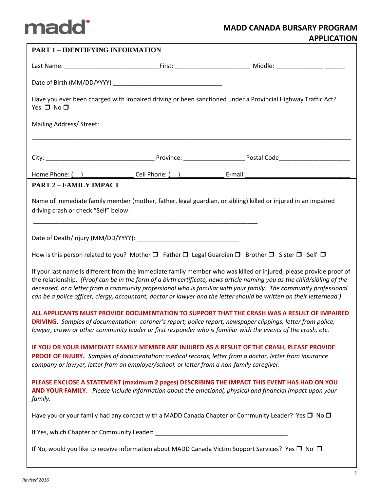

| <b>PART 1 - IDENTIFYING INFORMATION</b>                                                                                                                                                                                                                                                                                                                                                                                                                                                   |  |                                                                                                                               |  |  |  |
|-------------------------------------------------------------------------------------------------------------------------------------------------------------------------------------------------------------------------------------------------------------------------------------------------------------------------------------------------------------------------------------------------------------------------------------------------------------------------------------------|--|-------------------------------------------------------------------------------------------------------------------------------|--|--|--|
|                                                                                                                                                                                                                                                                                                                                                                                                                                                                                           |  |                                                                                                                               |  |  |  |
|                                                                                                                                                                                                                                                                                                                                                                                                                                                                                           |  |                                                                                                                               |  |  |  |
| Yes $\Box$ No $\Box$                                                                                                                                                                                                                                                                                                                                                                                                                                                                      |  | Have you ever been charged with impaired driving or been sanctioned under a Provincial Highway Traffic Act?                   |  |  |  |
| Mailing Address/ Street:                                                                                                                                                                                                                                                                                                                                                                                                                                                                  |  | <u> 1989 - Johann Stoff, amerikansk politiker (d. 1989)</u>                                                                   |  |  |  |
|                                                                                                                                                                                                                                                                                                                                                                                                                                                                                           |  |                                                                                                                               |  |  |  |
|                                                                                                                                                                                                                                                                                                                                                                                                                                                                                           |  |                                                                                                                               |  |  |  |
| <b>PART 2 - FAMILY IMPACT</b>                                                                                                                                                                                                                                                                                                                                                                                                                                                             |  |                                                                                                                               |  |  |  |
| Name of immediate family member (mother, father, legal guardian, or sibling) killed or injured in an impaired<br>driving crash or check "Self" below:                                                                                                                                                                                                                                                                                                                                     |  |                                                                                                                               |  |  |  |
|                                                                                                                                                                                                                                                                                                                                                                                                                                                                                           |  |                                                                                                                               |  |  |  |
|                                                                                                                                                                                                                                                                                                                                                                                                                                                                                           |  | How is this person related to you? Mother $\Box$ Father $\Box$ Legal Guardian $\Box$ Brother $\Box$ Sister $\Box$ Self $\Box$ |  |  |  |
| If your last name is different from the immediate family member who was killed or injured, please provide proof of<br>the relationship. (Proof can be in the form of a birth certificate, news article naming you as the child/sibling of the<br>deceased, or a letter from a community professional who is familiar with your family. The community professional<br>can be a police officer, clergy, accountant, doctor or lawyer and the letter should be written on their letterhead.) |  |                                                                                                                               |  |  |  |
| ALL APPLICANTS MUST PROVIDE DOCUMENTATION TO SUPPORT THAT THE CRASH WAS A RESULT OF IMPAIRED<br>DRIVING. Samples of documentation: coroner's report, police report, newspaper clippings, letter from police,<br>lawyer, crown or other community leader or first responder who is familiar with the events of the crash, etc.                                                                                                                                                             |  |                                                                                                                               |  |  |  |
| IF YOU OR YOUR IMMEDIATE FAMILY MEMBER ARE INJURED AS A RESULT OF THE CRASH, PLEASE PROVIDE<br>PROOF OF INJURY. Samples of documentation: medical records, letter from a doctor, letter from insurance<br>company or lawyer, letter from an employer/school, or letter from a non-family caregiver.                                                                                                                                                                                       |  |                                                                                                                               |  |  |  |
| PLEASE ENCLOSE A STATEMENT (maximum 2 pages) DESCRIBING THE IMPACT THIS EVENT HAS HAD ON YOU<br>AND YOUR FAMILY. Please include information about the emotional, physical and financial impact upon your<br>family.                                                                                                                                                                                                                                                                       |  |                                                                                                                               |  |  |  |
|                                                                                                                                                                                                                                                                                                                                                                                                                                                                                           |  | Have you or your family had any contact with a MADD Canada Chapter or Community Leader? Yes $\square$ No $\square$            |  |  |  |
|                                                                                                                                                                                                                                                                                                                                                                                                                                                                                           |  |                                                                                                                               |  |  |  |
| If No, would you like to receive information about MADD Canada Victim Support Services? Yes □ No □                                                                                                                                                                                                                                                                                                                                                                                        |  |                                                                                                                               |  |  |  |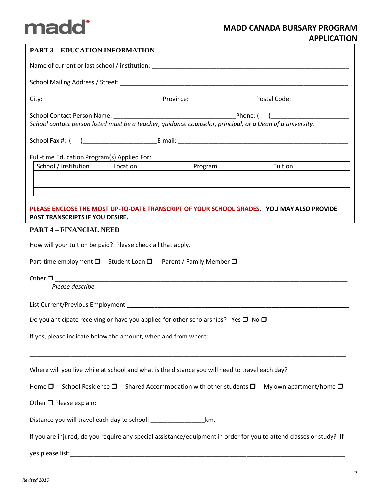# madd<sup>\*</sup>

| <b>PART 3 - EDUCATION INFORMATION</b>                                                                                                                       |          |                                                         |                                                               |  |  |  |  |
|-------------------------------------------------------------------------------------------------------------------------------------------------------------|----------|---------------------------------------------------------|---------------------------------------------------------------|--|--|--|--|
| Name of current or last school / institution: Name of the state of the state of the state of the state of the                                               |          |                                                         |                                                               |  |  |  |  |
|                                                                                                                                                             |          |                                                         |                                                               |  |  |  |  |
|                                                                                                                                                             |          |                                                         |                                                               |  |  |  |  |
| School contact person listed must be a teacher, guidance counselor, principal, or a Dean of a university.                                                   |          |                                                         |                                                               |  |  |  |  |
|                                                                                                                                                             |          |                                                         |                                                               |  |  |  |  |
| Full-time Education Program(s) Applied For:                                                                                                                 |          |                                                         |                                                               |  |  |  |  |
| School / Institution                                                                                                                                        | Location |                                                         | Program Tuition                                               |  |  |  |  |
|                                                                                                                                                             |          |                                                         |                                                               |  |  |  |  |
|                                                                                                                                                             |          | <u> 1989 - Johann Stein, fransk politiker (d. 1989)</u> | <u> 1980 - Johann Barn, mars an t-Amerikaansk politiker (</u> |  |  |  |  |
| PLEASE ENCLOSE THE MOST UP-TO-DATE TRANSCRIPT OF YOUR SCHOOL GRADES. YOU MAY ALSO PROVIDE<br>PAST TRANSCRIPTS IF YOU DESIRE.                                |          |                                                         |                                                               |  |  |  |  |
| <b>PART 4 - FINANCIAL NEED</b>                                                                                                                              |          |                                                         |                                                               |  |  |  |  |
| How will your tuition be paid? Please check all that apply.                                                                                                 |          |                                                         |                                                               |  |  |  |  |
| Part-time employment $\Box$ Student Loan $\Box$ Parent / Family Member $\Box$                                                                               |          |                                                         |                                                               |  |  |  |  |
| Other $\square$<br><u> 1980 - John Stein, mars and der Stein and der Stein and der Stein and der Stein and der Stein and der Stein a</u><br>Please describe |          |                                                         |                                                               |  |  |  |  |
|                                                                                                                                                             |          |                                                         |                                                               |  |  |  |  |
| Do you anticipate receiving or have you applied for other scholarships? Yes $\square$ No $\square$                                                          |          |                                                         |                                                               |  |  |  |  |
| If yes, please indicate below the amount, when and from where:                                                                                              |          |                                                         |                                                               |  |  |  |  |
| Where will you live while at school and what is the distance you will need to travel each day?                                                              |          |                                                         |                                                               |  |  |  |  |
| School Residence $\square$ Shared Accommodation with other students $\square$<br>My own apartment/home $\square$<br>Home $\square$                          |          |                                                         |                                                               |  |  |  |  |
|                                                                                                                                                             |          |                                                         |                                                               |  |  |  |  |
| km.                                                                                                                                                         |          |                                                         |                                                               |  |  |  |  |
| If you are injured, do you require any special assistance/equipment in order for you to attend classes or study? If                                         |          |                                                         |                                                               |  |  |  |  |
|                                                                                                                                                             |          |                                                         |                                                               |  |  |  |  |